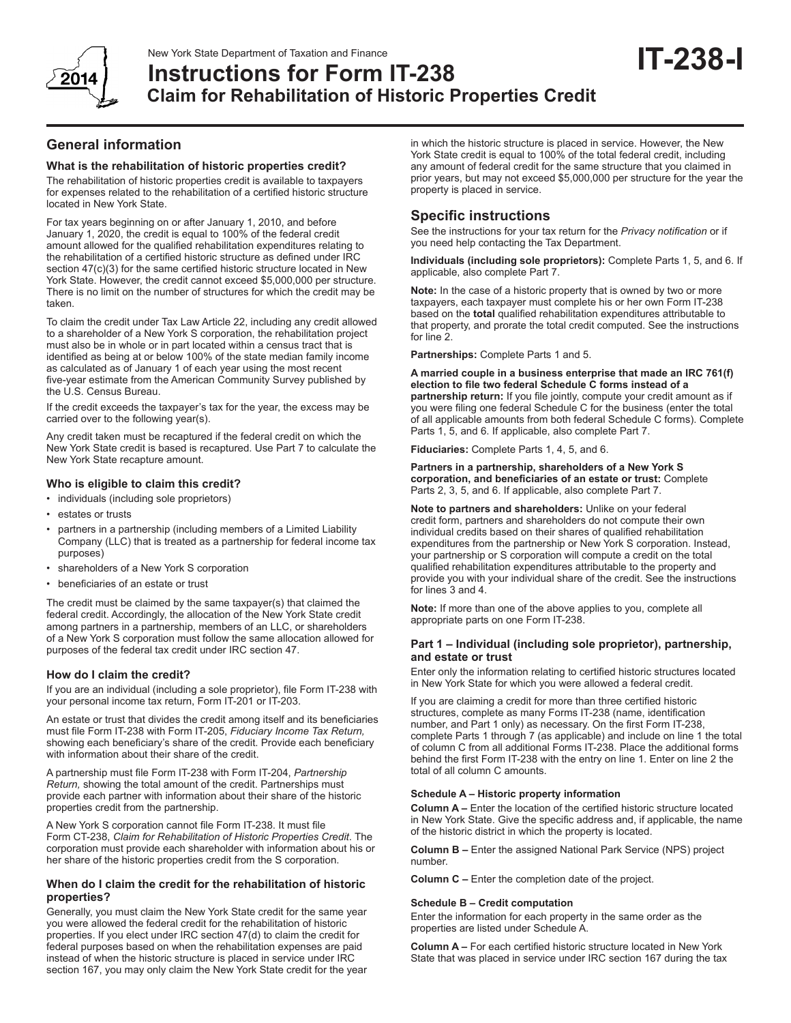

# New York State Department of Taxation and Finance<br> **Instructions for Form IT-238 Claim for Rehabilitation of Historic Properties Credit**

# **General information**

#### **What is the rehabilitation of historic properties credit?**

The rehabilitation of historic properties credit is available to taxpayers for expenses related to the rehabilitation of a certified historic structure located in New York State.

For tax years beginning on or after January 1, 2010, and before January 1, 2020, the credit is equal to 100% of the federal credit amount allowed for the qualified rehabilitation expenditures relating to the rehabilitation of a certified historic structure as defined under IRC section 47(c)(3) for the same certified historic structure located in New York State. However, the credit cannot exceed \$5,000,000 per structure. There is no limit on the number of structures for which the credit may be taken.

To claim the credit under Tax Law Article 22, including any credit allowed to a shareholder of a New York S corporation, the rehabilitation project must also be in whole or in part located within a census tract that is identified as being at or below 100% of the state median family income as calculated as of January 1 of each year using the most recent five-year estimate from the American Community Survey published by the U.S. Census Bureau.

If the credit exceeds the taxpayer's tax for the year, the excess may be carried over to the following year(s).

Any credit taken must be recaptured if the federal credit on which the New York State credit is based is recaptured. Use Part 7 to calculate the New York State recapture amount.

## **Who is eligible to claim this credit?**

- individuals (including sole proprietors)
- estates or trusts
- partners in a partnership (including members of a Limited Liability Company (LLC) that is treated as a partnership for federal income tax purposes)
- shareholders of a New York S corporation
- beneficiaries of an estate or trust

The credit must be claimed by the same taxpayer(s) that claimed the federal credit. Accordingly, the allocation of the New York State credit among partners in a partnership, members of an LLC, or shareholders of a New York S corporation must follow the same allocation allowed for purposes of the federal tax credit under IRC section 47.

#### **How do I claim the credit?**

If you are an individual (including a sole proprietor), file Form IT-238 with your personal income tax return, Form IT-201 or IT-203.

An estate or trust that divides the credit among itself and its beneficiaries must file Form IT-238 with Form IT-205, *Fiduciary Income Tax Return,* showing each beneficiary's share of the credit. Provide each beneficiary with information about their share of the credit.

A partnership must file Form IT-238 with Form IT-204, *Partnership Return,* showing the total amount of the credit. Partnerships must provide each partner with information about their share of the historic properties credit from the partnership.

A New York S corporation cannot file Form IT-238. It must file Form CT-238, *Claim for Rehabilitation of Historic Properties Credit*. The corporation must provide each shareholder with information about his or her share of the historic properties credit from the S corporation.

## **When do I claim the credit for the rehabilitation of historic properties?**

Generally, you must claim the New York State credit for the same year you were allowed the federal credit for the rehabilitation of historic properties. If you elect under IRC section 47(d) to claim the credit for federal purposes based on when the rehabilitation expenses are paid instead of when the historic structure is placed in service under IRC section 167, you may only claim the New York State credit for the year in which the historic structure is placed in service. However, the New York State credit is equal to 100% of the total federal credit, including any amount of federal credit for the same structure that you claimed in prior years, but may not exceed \$5,000,000 per structure for the year the property is placed in service.

# **Specific instructions**

See the instructions for your tax return for the *Privacy notification* or if you need help contacting the Tax Department.

**Individuals (including sole proprietors):** Complete Parts 1, 5, and 6. If applicable, also complete Part 7.

**Note:** In the case of a historic property that is owned by two or more taxpayers, each taxpayer must complete his or her own Form IT-238 based on the **total** qualified rehabilitation expenditures attributable to that property, and prorate the total credit computed. See the instructions for line 2.

**Partnerships:** Complete Parts 1 and 5.

**A married couple in a business enterprise that made an IRC 761(f) election to file two federal Schedule C forms instead of a partnership return:** If you file jointly, compute your credit amount as if you were filing one federal Schedule C for the business (enter the total of all applicable amounts from both federal Schedule C forms). Complete Parts 1, 5, and 6. If applicable, also complete Part 7.

**Fiduciaries:** Complete Parts 1, 4, 5, and 6.

**Partners in a partnership, shareholders of a New York S corporation, and beneficiaries of an estate or trust:** Complete Parts 2, 3, 5, and 6. If applicable, also complete Part 7.

**Note to partners and shareholders:** Unlike on your federal credit form, partners and shareholders do not compute their own individual credits based on their shares of qualified rehabilitation expenditures from the partnership or New York S corporation. Instead, your partnership or S corporation will compute a credit on the total qualified rehabilitation expenditures attributable to the property and provide you with your individual share of the credit. See the instructions for lines 3 and 4.

**Note:** If more than one of the above applies to you, complete all appropriate parts on one Form IT-238.

#### **Part 1 – Individual (including sole proprietor), partnership, and estate or trust**

Enter only the information relating to certified historic structures located in New York State for which you were allowed a federal credit.

If you are claiming a credit for more than three certified historic structures, complete as many Forms IT-238 (name, identification number, and Part 1 only) as necessary. On the first Form IT-238, complete Parts 1 through 7 (as applicable) and include on line 1 the total of column C from all additional Forms IT-238. Place the additional forms behind the first Form IT-238 with the entry on line 1. Enter on line 2 the total of all column C amounts.

#### **Schedule A – Historic property information**

**Column A –** Enter the location of the certified historic structure located in New York State. Give the specific address and, if applicable, the name of the historic district in which the property is located.

**Column B –** Enter the assigned National Park Service (NPS) project number.

**Column C –** Enter the completion date of the project.

#### **Schedule B – Credit computation**

Enter the information for each property in the same order as the properties are listed under Schedule A.

**Column A –** For each certified historic structure located in New York State that was placed in service under IRC section 167 during the tax